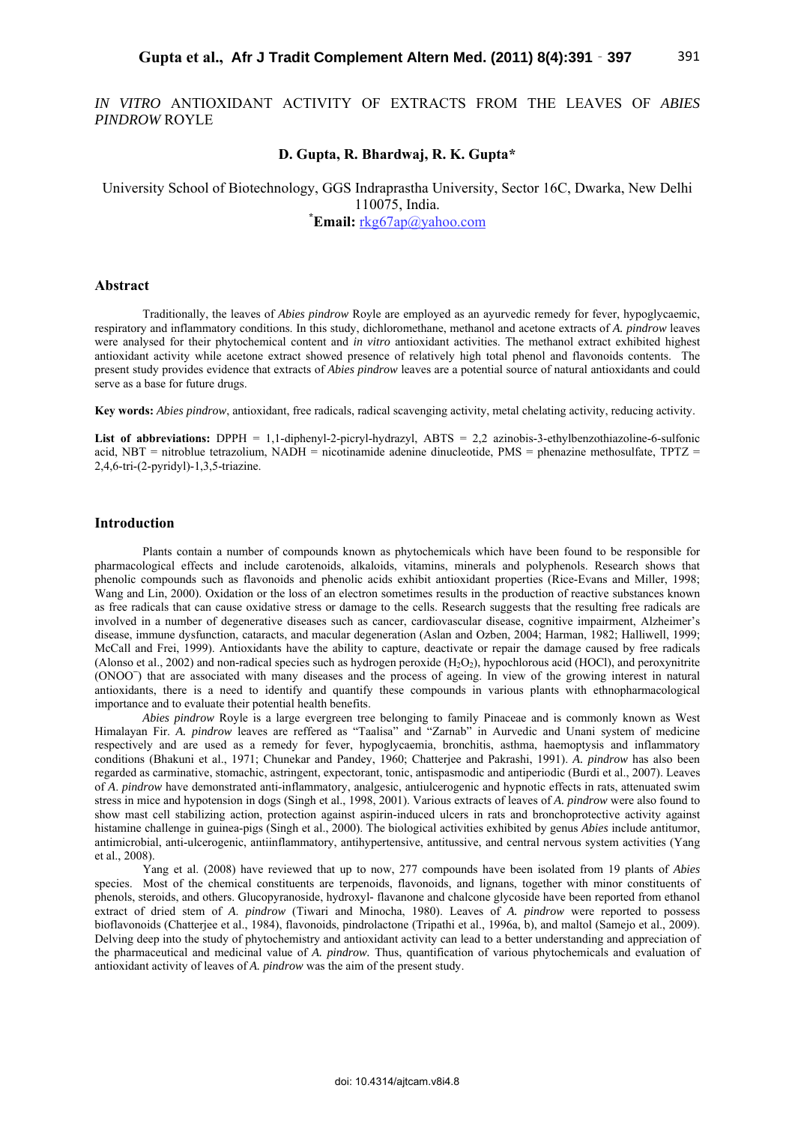*IN VITRO* ANTIOXIDANT ACTIVITY OF EXTRACTS FROM THE LEAVES OF *ABIES PINDROW* ROYLE

# **D. Gupta, R. Bhardwaj, R. K. Gupta\***

University School of Biotechnology, GGS Indraprastha University, Sector 16C, Dwarka, New Delhi 110075, India. **\***

**Email:** rkg67ap@yahoo.com

# **Abstract**

Traditionally, the leaves of *Abies pindrow* Royle are employed as an ayurvedic remedy for fever, hypoglycaemic, respiratory and inflammatory conditions. In this study, dichloromethane, methanol and acetone extracts of *A. pindrow* leaves were analysed for their phytochemical content and *in vitro* antioxidant activities. The methanol extract exhibited highest antioxidant activity while acetone extract showed presence of relatively high total phenol and flavonoids contents. The present study provides evidence that extracts of *Abies pindrow* leaves are a potential source of natural antioxidants and could serve as a base for future drugs.

**Key words:** *Abies pindrow*, antioxidant, free radicals, radical scavenging activity, metal chelating activity, reducing activity.

List of abbreviations: DPPH = 1,1-diphenyl-2-picryl-hydrazyl, ABTS = 2,2 azinobis-3-ethylbenzothiazoline-6-sulfonic acid, NBT = nitroblue tetrazolium, NADH = nicotinamide adenine dinucleotide, PMS = phenazine methosulfate, TPTZ = 2,4,6-tri-(2-pyridyl)-1,3,5-triazine.

# **Introduction**

Plants contain a number of compounds known as phytochemicals which have been found to be responsible for pharmacological effects and include carotenoids, alkaloids, vitamins, minerals and polyphenols. Research shows that phenolic compounds such as flavonoids and phenolic acids exhibit antioxidant properties (Rice-Evans and Miller, 1998; Wang and Lin, 2000). Oxidation or the loss of an electron sometimes results in the production of reactive substances known as free radicals that can cause oxidative stress or damage to the cells. Research suggests that the resulting free radicals are involved in a number of degenerative diseases such as cancer, cardiovascular disease, cognitive impairment, Alzheimer's disease, immune dysfunction, cataracts, and macular degeneration (Aslan and Ozben, 2004; Harman, 1982; Halliwell, 1999; McCall and Frei, 1999). Antioxidants have the ability to capture, deactivate or repair the damage caused by free radicals (Alonso et al., 2002) and non-radical species such as hydrogen peroxide  $(H<sub>2</sub>O<sub>2</sub>)$ , hypochlorous acid (HOCl), and peroxynitrite (ONOO**<sup>−</sup>** ) that are associated with many diseases and the process of ageing. In view of the growing interest in natural antioxidants, there is a need to identify and quantify these compounds in various plants with ethnopharmacological importance and to evaluate their potential health benefits.

*Abies pindrow* Royle is a large evergreen tree belonging to family Pinaceae and is commonly known as West Himalayan Fir. *A. pindrow* leaves are reffered as "Taalisa" and "Zarnab" in Aurvedic and Unani system of medicine respectively and are used as a remedy for fever, hypoglycaemia, bronchitis, asthma, haemoptysis and inflammatory conditions (Bhakuni et al., 1971; Chunekar and Pandey, 1960; Chatterjee and Pakrashi, 1991). *A. pindrow* has also been regarded as carminative, stomachic, astringent, expectorant, tonic, antispasmodic and antiperiodic (Burdi et al., 2007). Leaves of *A*. *pindrow* have demonstrated anti-inflammatory, analgesic, antiulcerogenic and hypnotic effects in rats, attenuated swim stress in mice and hypotension in dogs (Singh et al., 1998, 2001). Various extracts of leaves of *A. pindrow* were also found to show mast cell stabilizing action, protection against aspirin-induced ulcers in rats and bronchoprotective activity against histamine challenge in guinea-pigs (Singh et al., 2000). The biological activities exhibited by genus *Abies* include antitumor, antimicrobial, anti-ulcerogenic, antiinflammatory, antihypertensive, antitussive, and central nervous system activities (Yang et al., 2008).

Yang et al. (2008) have reviewed that up to now, 277 compounds have been isolated from 19 plants of *Abies*  species. Most of the chemical constituents are terpenoids, flavonoids, and lignans, together with minor constituents of phenols, steroids, and others. Glucopyranoside, hydroxyl*-* flavanone and chalcone glycoside have been reported from ethanol extract of dried stem of *A*. *pindrow* (Tiwari and Minocha, 1980). Leaves of *A. pindrow* were reported to possess bioflavonoids (Chatterjee et al., 1984), flavonoids, pindrolactone (Tripathi et al., 1996a, b), and maltol (Samejo et al., 2009). Delving deep into the study of phytochemistry and antioxidant activity can lead to a better understanding and appreciation of the pharmaceutical and medicinal value of *A. pindrow.* Thus, quantification of various phytochemicals and evaluation of antioxidant activity of leaves of *A. pindrow* was the aim of the present study.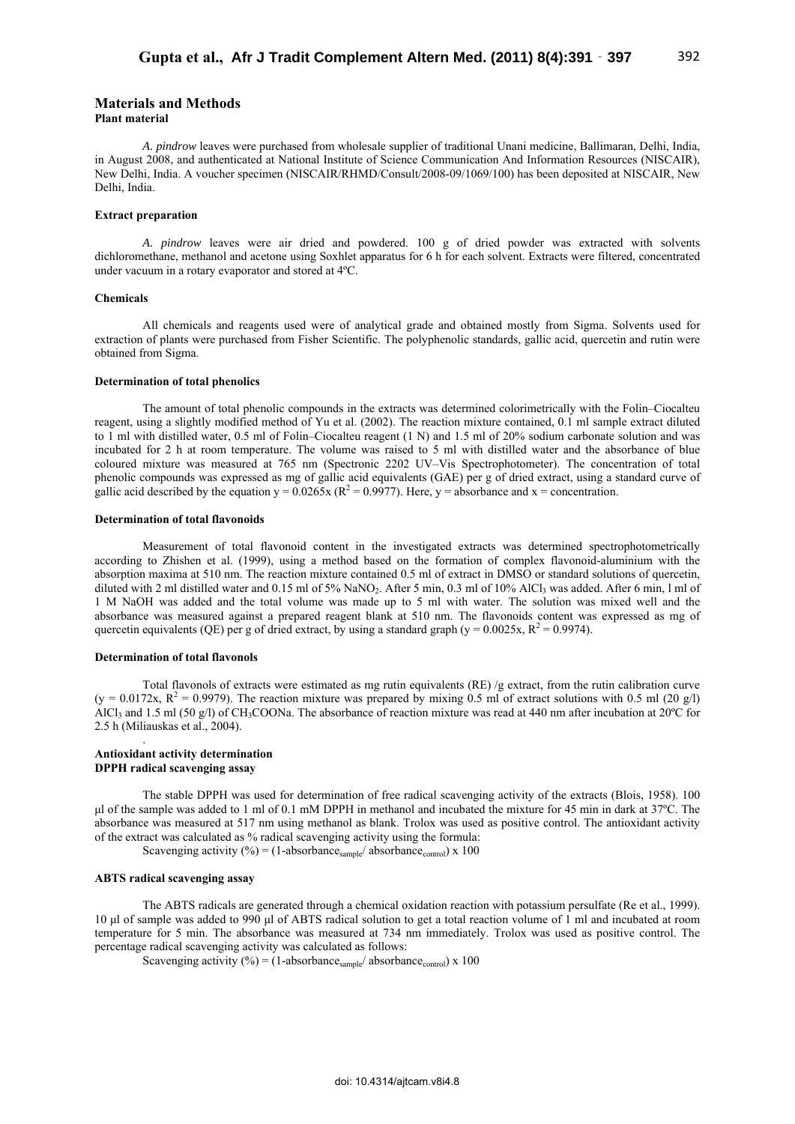# **Materials and Methods**

### **Plant material**

*A. pindrow* leaves were purchased from wholesale supplier of traditional Unani medicine, Ballimaran, Delhi, India, in August 2008, and authenticated at National Institute of Science Communication And Information Resources (NISCAIR), New Delhi, India. A voucher specimen (NISCAIR/RHMD/Consult/2008-09/1069/100) has been deposited at NISCAIR, New Delhi, India.

# **Extract preparation**

*A. pindrow* leaves were air dried and powdered. 100 g of dried powder was extracted with solvents dichloromethane, methanol and acetone using Soxhlet apparatus for 6 h for each solvent. Extracts were filtered, concentrated under vacuum in a rotary evaporator and stored at 4ºC.

## **Chemicals**

All chemicals and reagents used were of analytical grade and obtained mostly from Sigma. Solvents used for extraction of plants were purchased from Fisher Scientific. The polyphenolic standards, gallic acid, quercetin and rutin were obtained from Sigma.

### **Determination of total phenolics**

The amount of total phenolic compounds in the extracts was determined colorimetrically with the Folin–Ciocalteu reagent, using a slightly modified method of Yu et al. (2002). The reaction mixture contained, 0.1 ml sample extract diluted to 1 ml with distilled water, 0.5 ml of Folin–Ciocalteu reagent (1 N) and 1.5 ml of 20% sodium carbonate solution and was incubated for 2 h at room temperature. The volume was raised to 5 ml with distilled water and the absorbance of blue coloured mixture was measured at 765 nm (Spectronic 2202 UV–Vis Spectrophotometer). The concentration of total phenolic compounds was expressed as mg of gallic acid equivalents (GAE) per g of dried extract, using a standard curve of gallic acid described by the equation  $y = 0.0265x$  ( $R^2 = 0.9977$ ). Here,  $y =$  absorbance and  $x =$  concentration.

# **Determination of total flavonoids**

Measurement of total flavonoid content in the investigated extracts was determined spectrophotometrically according to Zhishen et al. (1999), using a method based on the formation of complex flavonoid-aluminium with the absorption maxima at 510 nm. The reaction mixture contained 0.5 ml of extract in DMSO or standard solutions of quercetin, diluted with 2 ml distilled water and 0.15 ml of 5% NaNO<sub>2</sub>. After 5 min, 0.3 ml of 10% AlCl<sub>3</sub> was added. After 6 min, l ml of 1 M NaOH was added and the total volume was made up to 5 ml with water. The solution was mixed well and the absorbance was measured against a prepared reagent blank at 510 nm. The flavonoids content was expressed as mg of quercetin equivalents (QE) per g of dried extract, by using a standard graph (y =  $0.0025x$ , R<sup>2</sup> = 0.9974).

### **Determination of total flavonols**

Total flavonols of extracts were estimated as mg rutin equivalents (RE) /g extract, from the rutin calibration curve  $(y = 0.0172x, R^2 = 0.9979)$ . The reaction mixture was prepared by mixing 0.5 ml of extract solutions with 0.5 ml (20 g/l) AlCl<sub>3</sub> and 1.5 ml (50 g/l) of CH<sub>3</sub>COONa. The absorbance of reaction mixture was read at 440 nm after incubation at 20°C for 2.5 h (Miliauskas et al., 2004).

## **Antioxidant activity determination DPPH radical scavenging assay**

.

The stable DPPH was used for determination of free radical scavenging activity of the extracts (Blois, 1958). 100 μl of the sample was added to 1 ml of 0.1 mM DPPH in methanol and incubated the mixture for 45 min in dark at 37ºC. The absorbance was measured at 517 nm using methanol as blank. Trolox was used as positive control. The antioxidant activity of the extract was calculated as % radical scavenging activity using the formula:

Scavenging activity (%) = (1-absorbance<sub>sample</sub>/ absorbance<sub>control</sub>) x 100

# **ABTS radical scavenging assay**

The ABTS radicals are generated through a chemical oxidation reaction with potassium persulfate (Re et al., 1999). 10 μl of sample was added to 990 μl of ABTS radical solution to get a total reaction volume of 1 ml and incubated at room temperature for 5 min. The absorbance was measured at 734 nm immediately. Trolox was used as positive control. The percentage radical scavenging activity was calculated as follows:

Scavenging activity  $(\%) = (1-\text{absorbane}_{\text{sample}}/\text{absorbane}_{\text{control}}) \times 100$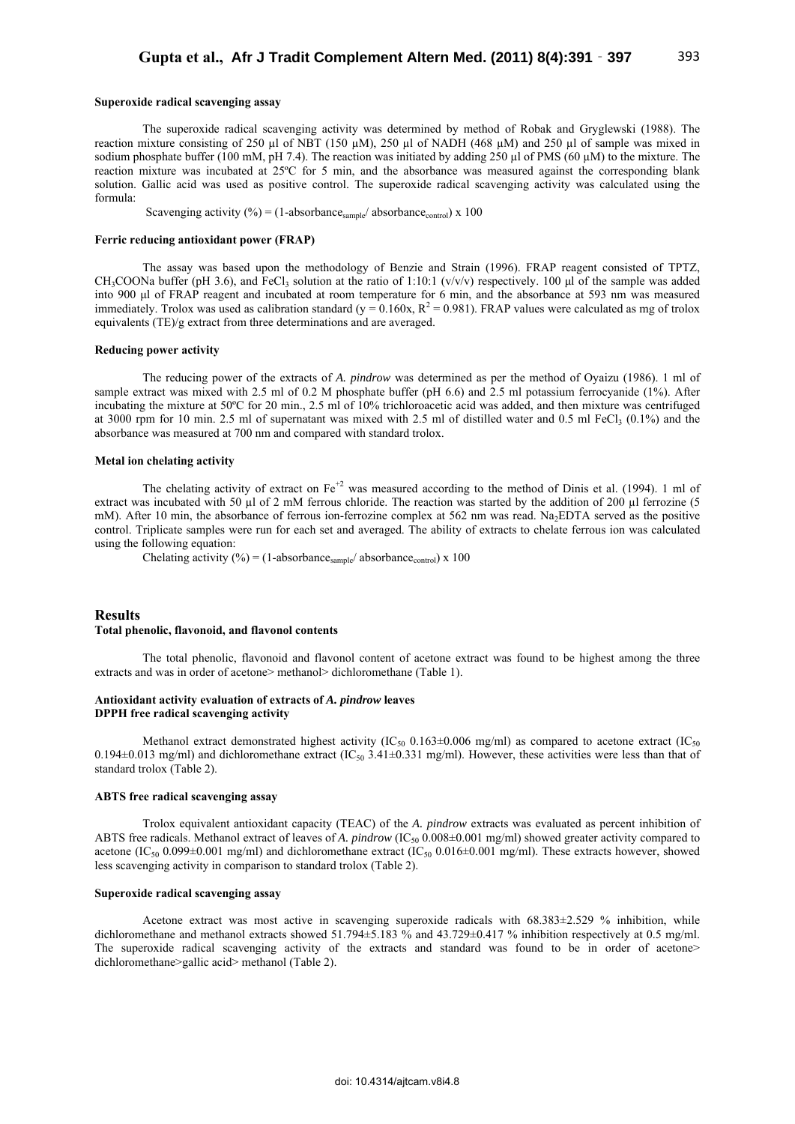# **Superoxide radical scavenging assay**

The superoxide radical scavenging activity was determined by method of Robak and Gryglewski (1988). The reaction mixture consisting of 250 µl of NBT (150 µM), 250 µl of NADH (468 µM) and 250 µl of sample was mixed in sodium phosphate buffer (100 mM, pH 7.4). The reaction was initiated by adding 250  $\mu$ l of PMS (60  $\mu$ M) to the mixture. The reaction mixture was incubated at 25ºC for 5 min, and the absorbance was measured against the corresponding blank solution. Gallic acid was used as positive control. The superoxide radical scavenging activity was calculated using the formula:

Scavenging activity (%) = (1-absorbance<sub>sample</sub>/ absorbance<sub>control</sub>) x 100

### **Ferric reducing antioxidant power (FRAP)**

The assay was based upon the methodology of Benzie and Strain (1996). FRAP reagent consisted of TPTZ, CH<sub>3</sub>COONa buffer (pH 3.6), and FeCl<sub>3</sub> solution at the ratio of 1:10:1 (v/v/v) respectively. 100 µl of the sample was added into 900 μl of FRAP reagent and incubated at room temperature for 6 min, and the absorbance at 593 nm was measured immediately. Trolox was used as calibration standard ( $y = 0.160x$ ,  $R^2 = 0.981$ ). FRAP values were calculated as mg of trolox equivalents (TE)/g extract from three determinations and are averaged.

#### **Reducing power activity**

The reducing power of the extracts of *A. pindrow* was determined as per the method of Oyaizu (1986). 1 ml of sample extract was mixed with 2.5 ml of 0.2 M phosphate buffer (pH 6.6) and 2.5 ml potassium ferrocyanide (1%). After incubating the mixture at 50ºC for 20 min., 2.5 ml of 10% trichloroacetic acid was added, and then mixture was centrifuged at 3000 rpm for 10 min. 2.5 ml of supernatant was mixed with 2.5 ml of distilled water and 0.5 ml FeCl<sub>3</sub> (0.1%) and the absorbance was measured at 700 nm and compared with standard trolox.

### **Metal ion chelating activity**

The chelating activity of extract on  $Fe^{+2}$  was measured according to the method of Dinis et al. (1994). 1 ml of extract was incubated with 50  $\mu$ l of 2 mM ferrous chloride. The reaction was started by the addition of 200  $\mu$ l ferrozine (5 mM). After 10 min, the absorbance of ferrous ion-ferrozine complex at 562 nm was read. Na<sub>2</sub>EDTA served as the positive control. Triplicate samples were run for each set and averaged. The ability of extracts to chelate ferrous ion was calculated using the following equation:

Chelating activity (%) = (1-absorbance<sub>sample</sub>/ absorbance<sub>control</sub>) x 100

## **Results Total phenolic, flavonoid, and flavonol contents**

The total phenolic, flavonoid and flavonol content of acetone extract was found to be highest among the three extracts and was in order of acetone> methanol> dichloromethane (Table 1).

### **Antioxidant activity evaluation of extracts of** *A. pindrow* **leaves DPPH free radical scavenging activity**

Methanol extract demonstrated highest activity (IC<sub>50</sub> 0.163 $\pm$ 0.006 mg/ml) as compared to acetone extract (IC<sub>50</sub>) 0.194 $\pm$ 0.013 mg/ml) and dichloromethane extract (IC<sub>50</sub> 3.41 $\pm$ 0.331 mg/ml). However, these activities were less than that of standard trolox (Table 2).

#### **ABTS free radical scavenging assay**

Trolox equivalent antioxidant capacity (TEAC) of the *A. pindrow* extracts was evaluated as percent inhibition of ABTS free radicals. Methanol extract of leaves of *A. pindrow* (IC<sub>50</sub> 0.008±0.001 mg/ml) showed greater activity compared to acetone (IC<sub>50</sub> 0.099±0.001 mg/ml) and dichloromethane extract (IC<sub>50</sub> 0.016±0.001 mg/ml). These extracts however, showed less scavenging activity in comparison to standard trolox (Table 2).

### **Superoxide radical scavenging assay**

Acetone extract was most active in scavenging superoxide radicals with 68.383±2.529 % inhibition, while dichloromethane and methanol extracts showed 51.794±5.183 % and 43.729±0.417 % inhibition respectively at 0.5 mg/ml. The superoxide radical scavenging activity of the extracts and standard was found to be in order of acetone> dichloromethane>gallic acid> methanol (Table 2).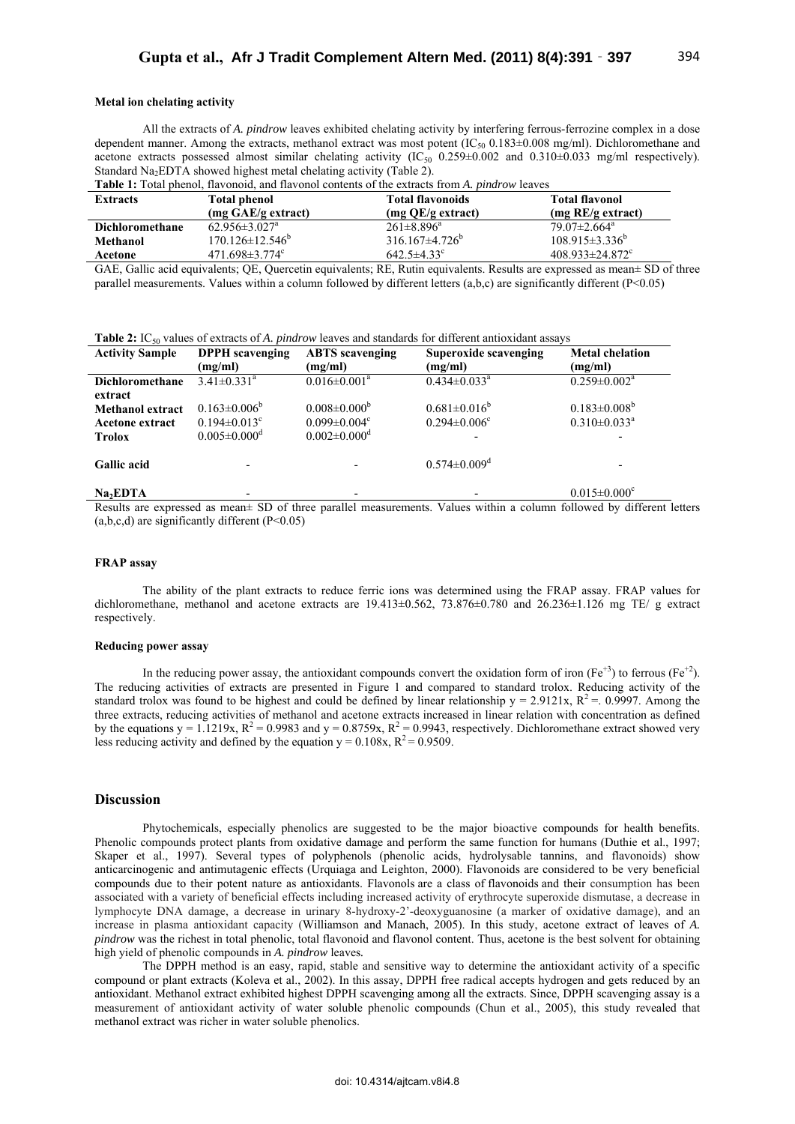# **Metal ion chelating activity**

All the extracts of *A. pindrow* leaves exhibited chelating activity by interfering ferrous-ferrozine complex in a dose dependent manner. Among the extracts, methanol extract was most potent (IC<sub>50</sub> 0.183 $\pm$ 0.008 mg/ml). Dichloromethane and acetone extracts possessed almost similar chelating activity (IC50 0.259±0.002 and 0.310±0.033 mg/ml respectively). Standard Na<sub>2</sub>EDTA showed highest metal chelating activity (Table 2).

| <b>Table 1:</b> Total phenol, flavonoid, and flavonol contents of the extracts from A. <i>pindrow</i> leaves |                                   |                         |                                   |  |  |  |
|--------------------------------------------------------------------------------------------------------------|-----------------------------------|-------------------------|-----------------------------------|--|--|--|
| <b>Extracts</b>                                                                                              | <b>Total phenol</b>               | <b>Total flavonoids</b> | <b>Total flavonol</b>             |  |  |  |
|                                                                                                              | (mg GAE/g extract)                | $(mg QE/g$ extract)     | $(mg \, RE/g \, extract)$         |  |  |  |
| Dichloromethane                                                                                              | $62.956 \pm 3.027$ <sup>a</sup>   | $261\pm8.896^a$         | $79.07 \pm 2.664$ <sup>a</sup>    |  |  |  |
| Methanol                                                                                                     | $170.126 \pm 12.546^b$            | $316.167\pm4.726^b$     | $108.915 \pm 3.336^b$             |  |  |  |
| Acetone                                                                                                      | 471.698 $\pm$ 3.774 $\textdegree$ | $642.5 \pm 4.33$ °      | $408.933 \pm 24.872$ <sup>c</sup> |  |  |  |

GAE, Gallic acid equivalents; QE, Quercetin equivalents; RE, Rutin equivalents. Results are expressed as mean± SD of three parallel measurements. Values within a column followed by different letters (a,b,c) are significantly different (P<0.05)

Table 2: IC<sub>50</sub> values of extracts of *A. pindrow* leaves and standards for different antioxidant assays

| <b>Activity Sample</b>  | <b>DPPH</b> scavenging                | <b>ABTS</b> scavenging         | Superoxide scavenging          | <b>Metal chelation</b>                                                          |
|-------------------------|---------------------------------------|--------------------------------|--------------------------------|---------------------------------------------------------------------------------|
|                         | (mg/ml)                               | (mg/ml)                        | (mg/ml)                        | (mg/ml)                                                                         |
| <b>Dichloromethane</b>  | $3.41 \pm 0.331^a$                    | $0.016 \pm 0.001^a$            | $0.434 \pm 0.033$ <sup>a</sup> | $0.259 \pm 0.002^a$                                                             |
| extract                 |                                       |                                |                                |                                                                                 |
| <b>Methanol extract</b> | $0.163 \pm 0.006^b$                   | $0.008 \pm 0.000^b$            | $0.681 \pm 0.016^b$            | $0.183 \pm 0.008^b$                                                             |
| <b>Acetone extract</b>  | $0.194 \pm 0.013$ <sup>c</sup>        | $0.099 \pm 0.004$ <sup>c</sup> | $0.294 \pm 0.006$ <sup>c</sup> | $0.310 \pm 0.033$ <sup>a</sup>                                                  |
| <b>Trolox</b>           | $0.005 \pm 0.000$ <sup>d</sup>        | $0.002 \pm 0.000$ <sup>d</sup> |                                |                                                                                 |
|                         |                                       |                                |                                |                                                                                 |
| <b>Gallic acid</b>      |                                       |                                | $0.574 \pm 0.009$ <sup>d</sup> |                                                                                 |
|                         |                                       |                                |                                |                                                                                 |
| Na <sub>2</sub> EDTA    | $\sim$ $\sim$<br>$\sim$ $\sim$ $\sim$ | $\cdots$                       | .<br>$- - -$                   | $0.015 \pm 0.000$ <sup>c</sup><br>$\cdots$<br>$^{\circ}$ $^{\circ}$<br>$\cdots$ |

Results are expressed as mean± SD of three parallel measurements. Values within a column followed by different letters  $(a,b,c,d)$  are significantly different  $(P<0.05)$ 

### **FRAP assay**

The ability of the plant extracts to reduce ferric ions was determined using the FRAP assay. FRAP values for dichloromethane, methanol and acetone extracts are 19.413±0.562, 73.876±0.780 and 26.236±1.126 mg TE/ g extract respectively.

#### **Reducing power assay**

In the reducing power assay, the antioxidant compounds convert the oxidation form of iron ( $Fe<sup>+3</sup>$ ) to ferrous ( $Fe<sup>+2</sup>$ ). The reducing activities of extracts are presented in Figure 1 and compared to standard trolox. Reducing activity of the standard trolox was found to be highest and could be defined by linear relationship  $y = 2.9121x$ ,  $R^2 = 0.9997$ . Among the three extracts, reducing activities of methanol and acetone extracts increased in linear relation with concentration as defined by the equations  $y = 1.1219x$ ,  $R^2 = 0.9983$  and  $y = 0.8759x$ ,  $R^2 = 0.9943$ , respectively. Dichloromethane extract showed very less reducing activity and defined by the equation  $y = 0.108x$ ,  $R^2 = 0.9509$ .

# **Discussion**

Phytochemicals, especially phenolics are suggested to be the major bioactive compounds for health benefits. Phenolic compounds protect plants from oxidative damage and perform the same function for humans (Duthie et al., 1997; Skaper et al., 1997). Several types of polyphenols (phenolic acids, hydrolysable tannins, and flavonoids) show anticarcinogenic and antimutagenic effects (Urquiaga and Leighton, 2000). Flavonoids are considered to be very beneficial compounds due to their potent nature as antioxidants. Flavonols are a class of flavonoids and their consumption has been associated with a variety of beneficial effects including increased activity of erythrocyte superoxide dismutase, a decrease in lymphocyte DNA damage, a decrease in urinary 8-hydroxy-2'-deoxyguanosine (a marker of oxidative damage), and an increase in plasma antioxidant capacity (Williamson and Manach, 2005). In this study, acetone extract of leaves of *A. pindrow* was the richest in total phenolic, total flavonoid and flavonol content. Thus, acetone is the best solvent for obtaining high yield of phenolic compounds in *A. pindrow* leaves*.*

The DPPH method is an easy, rapid, stable and sensitive way to determine the antioxidant activity of a specific compound or plant extracts (Koleva et al., 2002). In this assay, DPPH free radical accepts hydrogen and gets reduced by an antioxidant. Methanol extract exhibited highest DPPH scavenging among all the extracts. Since, DPPH scavenging assay is a measurement of antioxidant activity of water soluble phenolic compounds (Chun et al., 2005), this study revealed that methanol extract was richer in water soluble phenolics.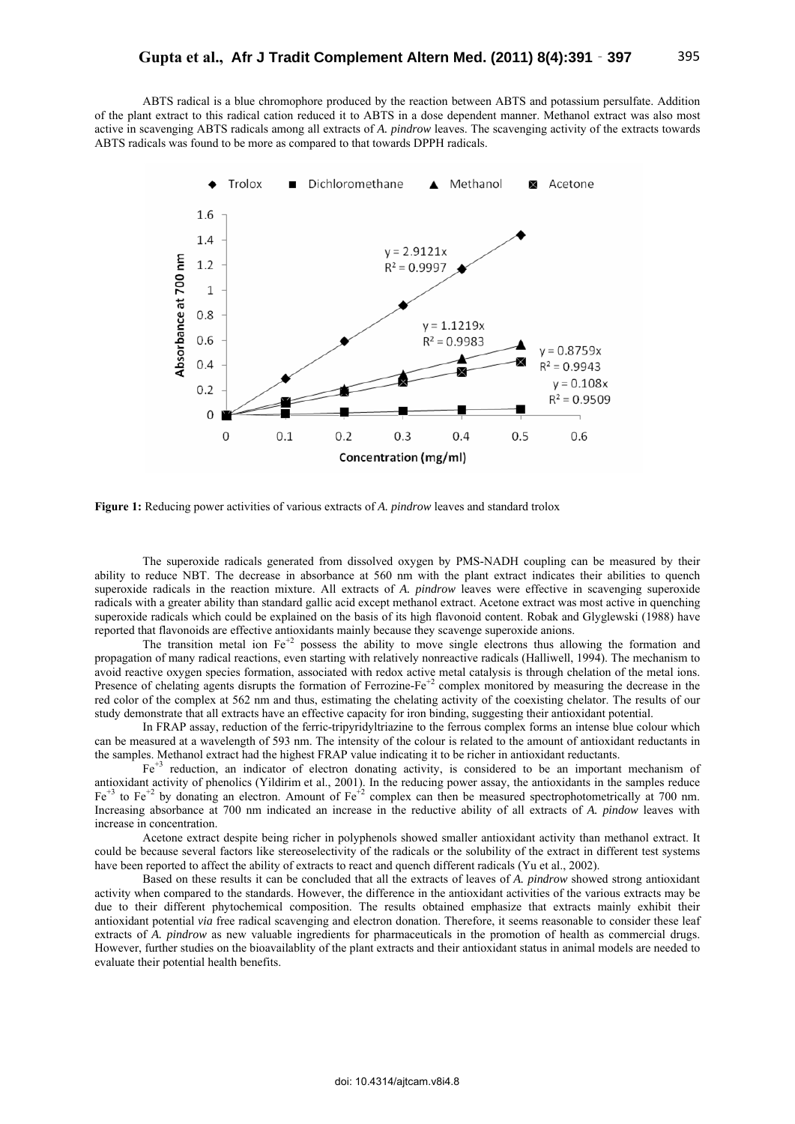ABTS radical is a blue chromophore produced by the reaction between ABTS and potassium persulfate. Addition of the plant extract to this radical cation reduced it to ABTS in a dose dependent manner. Methanol extract was also most active in scavenging ABTS radicals among all extracts of *A. pindrow* leaves. The scavenging activity of the extracts towards ABTS radicals was found to be more as compared to that towards DPPH radicals.



**Figure 1:** Reducing power activities of various extracts of *A. pindrow* leaves and standard trolox

The superoxide radicals generated from dissolved oxygen by PMS-NADH coupling can be measured by their ability to reduce NBT. The decrease in absorbance at 560 nm with the plant extract indicates their abilities to quench superoxide radicals in the reaction mixture. All extracts of *A. pindrow* leaves were effective in scavenging superoxide radicals with a greater ability than standard gallic acid except methanol extract. Acetone extract was most active in quenching superoxide radicals which could be explained on the basis of its high flavonoid content. Robak and Glyglewski (1988) have reported that flavonoids are effective antioxidants mainly because they scavenge superoxide anions.

The transition metal ion  $Fe<sup>2</sup>$  possess the ability to move single electrons thus allowing the formation and propagation of many radical reactions, even starting with relatively nonreactive radicals (Halliwell, 1994). The mechanism to avoid reactive oxygen species formation, associated with redox active metal catalysis is through chelation of the metal ions. Presence of chelating agents disrupts the formation of Ferrozine-Fe<sup>+2</sup> complex monitored by measuring the decrease in the red color of the complex at 562 nm and thus, estimating the chelating activity of the coexisting chelator. The results of our study demonstrate that all extracts have an effective capacity for iron binding, suggesting their antioxidant potential.

In FRAP assay, reduction of the ferric-tripyridyltriazine to the ferrous complex forms an intense blue colour which can be measured at a wavelength of 593 nm. The intensity of the colour is related to the amount of antioxidant reductants in the samples. Methanol extract had the highest FRAP value indicating it to be richer in antioxidant reductants.

Fe+3 reduction, an indicator of electron donating activity, is considered to be an important mechanism of antioxidant activity of phenolics (Yildirim et al., 2001). In the reducing power assay, the antioxidants in the samples reduce  $Fe<sup>+3</sup>$  to Fe<sup>+2</sup> by donating an electron. Amount of Fe<sup>+2</sup> complex can then be measured spectrophotometrically at 700 nm. Increasing absorbance at 700 nm indicated an increase in the reductive ability of all extracts of *A. pindow* leaves with increase in concentration.

Acetone extract despite being richer in polyphenols showed smaller antioxidant activity than methanol extract. It could be because several factors like stereoselectivity of the radicals or the solubility of the extract in different test systems have been reported to affect the ability of extracts to react and quench different radicals (Yu et al., 2002).

Based on these results it can be concluded that all the extracts of leaves of *A. pindrow* showed strong antioxidant activity when compared to the standards. However, the difference in the antioxidant activities of the various extracts may be due to their different phytochemical composition. The results obtained emphasize that extracts mainly exhibit their antioxidant potential *via* free radical scavenging and electron donation. Therefore, it seems reasonable to consider these leaf extracts of *A. pindrow* as new valuable ingredients for pharmaceuticals in the promotion of health as commercial drugs. However, further studies on the bioavailablity of the plant extracts and their antioxidant status in animal models are needed to evaluate their potential health benefits.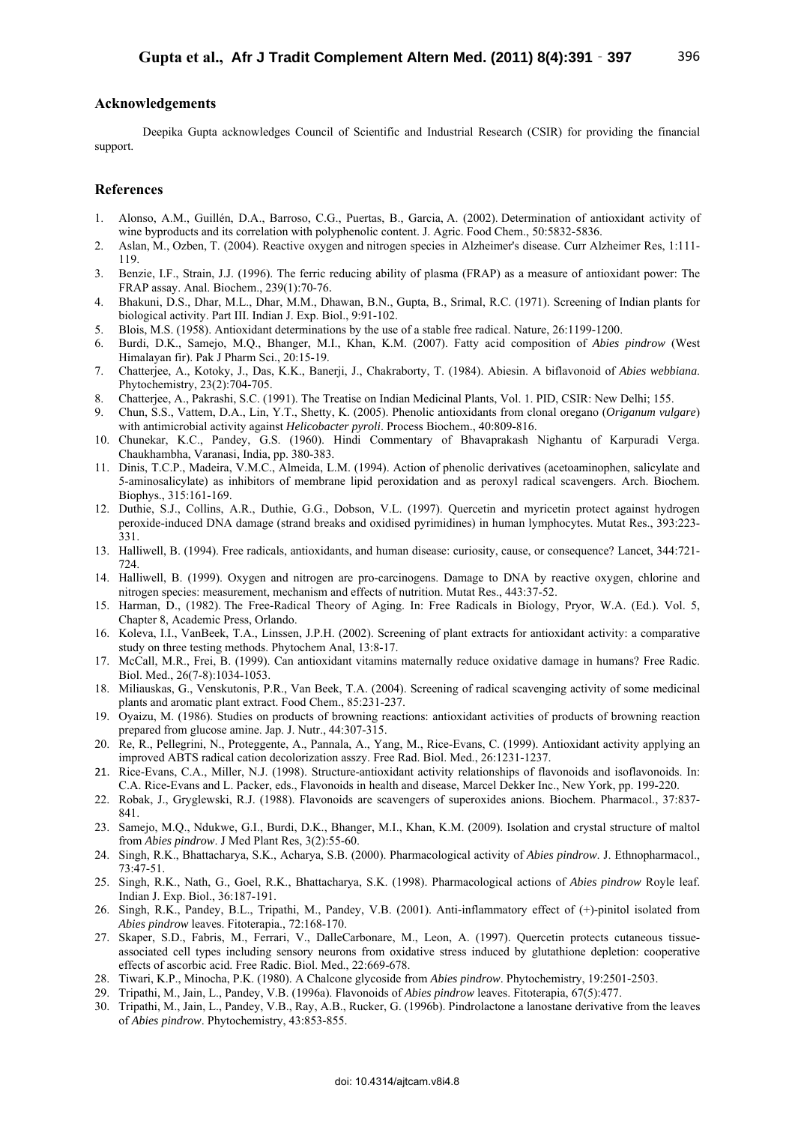# **Acknowledgements**

Deepika Gupta acknowledges Council of Scientific and Industrial Research (CSIR) for providing the financial support.

# **References**

- 1. Alonso, A.M., Guillén, D.A., Barroso, C.G., Puertas, B., Garcia, A. (2002). Determination of antioxidant activity of wine byproducts and its correlation with polyphenolic content. J. Agric. Food Chem., 50:5832-5836.
- 2. Aslan, M., Ozben, T. (2004). Reactive oxygen and nitrogen species in Alzheimer's disease. Curr Alzheimer Res, 1:111- 119.
- 3. Benzie, I.F., Strain, J.J. (1996). The ferric reducing ability of plasma (FRAP) as a measure of antioxidant power: The FRAP assay. Anal. Biochem., 239(1):70-76.
- 4. Bhakuni, D.S., Dhar, M.L., Dhar, M.M., Dhawan, B.N., Gupta, B., Srimal, R.C. (1971). Screening of Indian plants for biological activity. Part III. Indian J. Exp. Biol., 9:91-102.
- 5. Blois, M.S. (1958). Antioxidant determinations by the use of a stable free radical. Nature, 26:1199-1200.
- 6. Burdi, D.K., Samejo, M.Q., Bhanger, M.I., Khan, K.M. (2007). Fatty acid composition of *Abies pindrow* (West Himalayan fir). Pak J Pharm Sci., 20:15-19.
- 7. Chatterjee, A., Kotoky, J., Das, K.K., Banerji, J., Chakraborty, T. (1984). Abiesin. A biflavonoid of *Abies webbiana*. Phytochemistry, 23(2):704-705.
- 8. Chatterjee, A., Pakrashi, S.C. (1991). The Treatise on Indian Medicinal Plants, Vol. 1. PID, CSIR: New Delhi; 155.
- 9. Chun, S.S., Vattem, D.A., Lin, Y.T., Shetty, K. (2005). Phenolic antioxidants from clonal oregano (*Origanum vulgare*) with antimicrobial activity against *Helicobacter pyroli*. Process Biochem., 40:809-816.
- 10. Chunekar, K.C., Pandey, G.S. (1960). Hindi Commentary of Bhavaprakash Nighantu of Karpuradi Verga. Chaukhambha, Varanasi, India, pp. 380-383.
- 11. Dinis, T.C.P., Madeira, V.M.C., Almeida, L.M. (1994). Action of phenolic derivatives (acetoaminophen, salicylate and 5-aminosalicylate) as inhibitors of membrane lipid peroxidation and as peroxyl radical scavengers. Arch. Biochem. Biophys., 315:161-169.
- 12. Duthie, S.J., Collins, A.R., Duthie, G.G., Dobson, V.L. (1997). Quercetin and myricetin protect against hydrogen peroxide-induced DNA damage (strand breaks and oxidised pyrimidines) in human lymphocytes. Mutat Res., 393:223- 331.
- 13. Halliwell, B. (1994). Free radicals, antioxidants, and human disease: curiosity, cause, or consequence? Lancet, 344:721- 724.
- 14. Halliwell, B. (1999). Oxygen and nitrogen are pro-carcinogens. Damage to DNA by reactive oxygen, chlorine and nitrogen species: measurement, mechanism and effects of nutrition. Mutat Res., 443:37-52.
- 15. Harman, D., (1982). The Free-Radical Theory of Aging. In: Free Radicals in Biology, Pryor, W.A. (Ed.). Vol. 5, Chapter 8, Academic Press, Orlando.
- 16. Koleva, I.I., VanBeek, T.A., Linssen, J.P.H. (2002). Screening of plant extracts for antioxidant activity: a comparative study on three testing methods. Phytochem Anal, 13:8-17.
- 17. McCall, M.R., Frei, B. (1999). Can antioxidant vitamins maternally reduce oxidative damage in humans? Free Radic. Biol. Med., 26(7-8):1034-1053.
- 18. Miliauskas, G., Venskutonis, P.R., Van Beek, T.A. (2004). Screening of radical scavenging activity of some medicinal plants and aromatic plant extract. Food Chem., 85:231-237.
- 19. Oyaizu, M. (1986). Studies on products of browning reactions: antioxidant activities of products of browning reaction prepared from glucose amine. Jap. J. Nutr., 44:307-315.
- 20. Re, R., Pellegrini, N., Proteggente, A., Pannala, A., Yang, M., Rice-Evans, C. (1999). Antioxidant activity applying an improved ABTS radical cation decolorization asszy. Free Rad. Biol. Med., 26:1231-1237.
- 21. Rice-Evans, C.A., Miller, N.J. (1998). Structure-antioxidant activity relationships of flavonoids and isoflavonoids. In: C.A. Rice-Evans and L. Packer, eds., Flavonoids in health and disease, Marcel Dekker Inc., New York, pp. 199-220.
- 22. Robak, J., Gryglewski, R.J. (1988). Flavonoids are scavengers of superoxides anions. Biochem. Pharmacol., 37:837- 841.
- 23. Samejo, M.Q., Ndukwe, G.I., Burdi, D.K., Bhanger, M.I., Khan, K.M. (2009). Isolation and crystal structure of maltol from *Abies pindrow*. J Med Plant Res, 3(2):55-60.
- 24. Singh, R.K., Bhattacharya, S.K., Acharya, S.B. (2000). Pharmacological activity of *Abies pindrow*. J. Ethnopharmacol., 73:47-51.
- 25. Singh, R.K., Nath, G., Goel, R.K., Bhattacharya, S.K. (1998). Pharmacological actions of *Abies pindrow* Royle leaf. Indian J. Exp. Biol., 36:187-191.
- 26. Singh, R.K., Pandey, B.L., Tripathi, M., Pandey, V.B. (2001). Anti-inflammatory effect of (+)-pinitol isolated from *Abies pindrow* leaves. Fitoterapia., 72:168-170.
- 27. Skaper, S.D., Fabris, M., Ferrari, V., DalleCarbonare, M., Leon, A. (1997). Quercetin protects cutaneous tissueassociated cell types including sensory neurons from oxidative stress induced by glutathione depletion: cooperative effects of ascorbic acid. Free Radic. Biol. Med., 22:669-678.
- 28. Tiwari, K.P., Minocha, P.K. (1980). A Chalcone glycoside from *Abies pindrow*. Phytochemistry, 19:2501-2503.
- 29. Tripathi, M., Jain, L., Pandey, V.B. (1996a). Flavonoids of *Abies pindrow* leaves. Fitoterapia, 67(5):477.
- 30. Tripathi, M., Jain, L., Pandey, V.B., Ray, A.B., Rucker, G. (1996b). Pindrolactone a lanostane derivative from the leaves of *Abies pindrow*. Phytochemistry, 43:853-855.